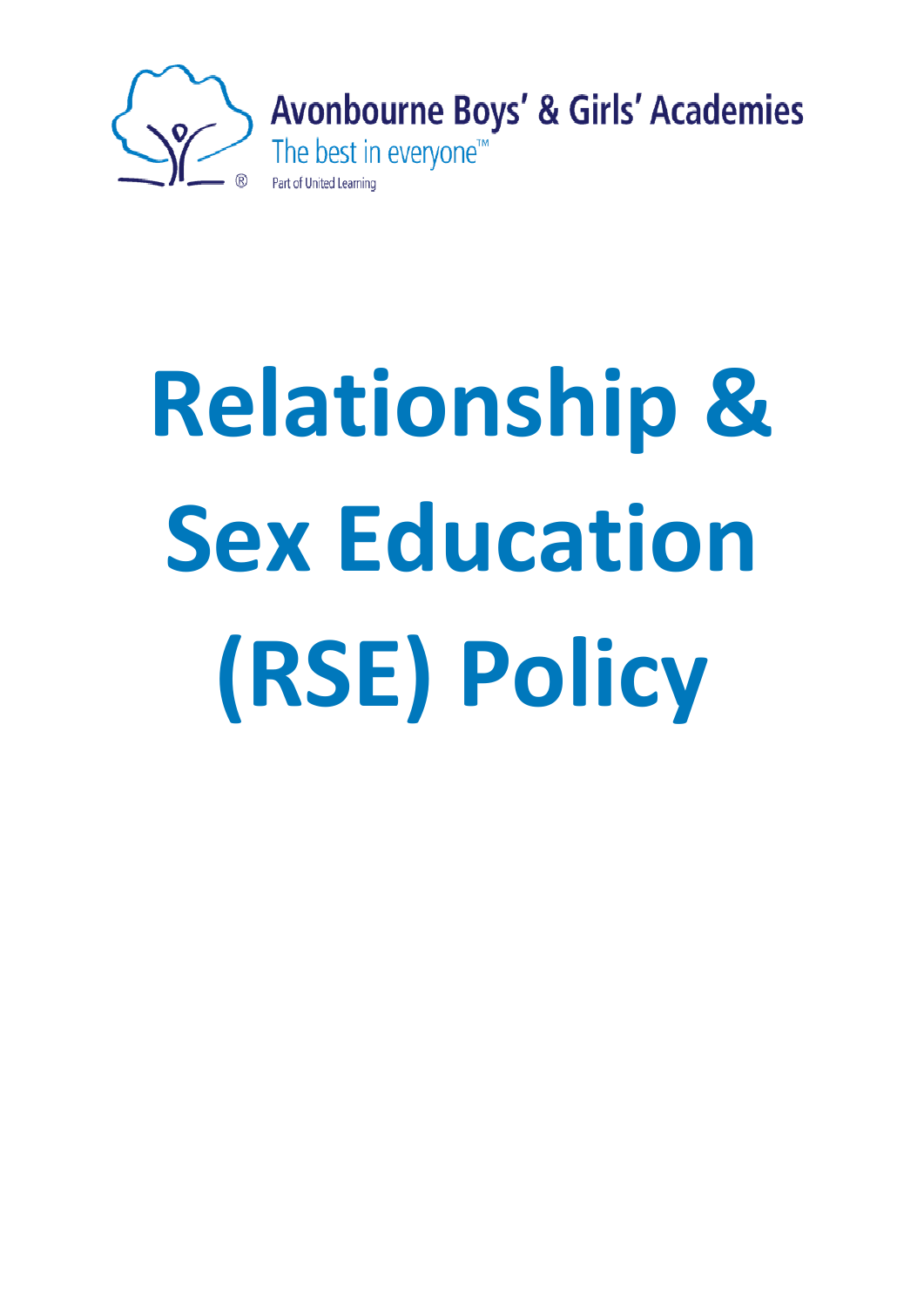

# **Relationship & Sex Education (RSE) Policy**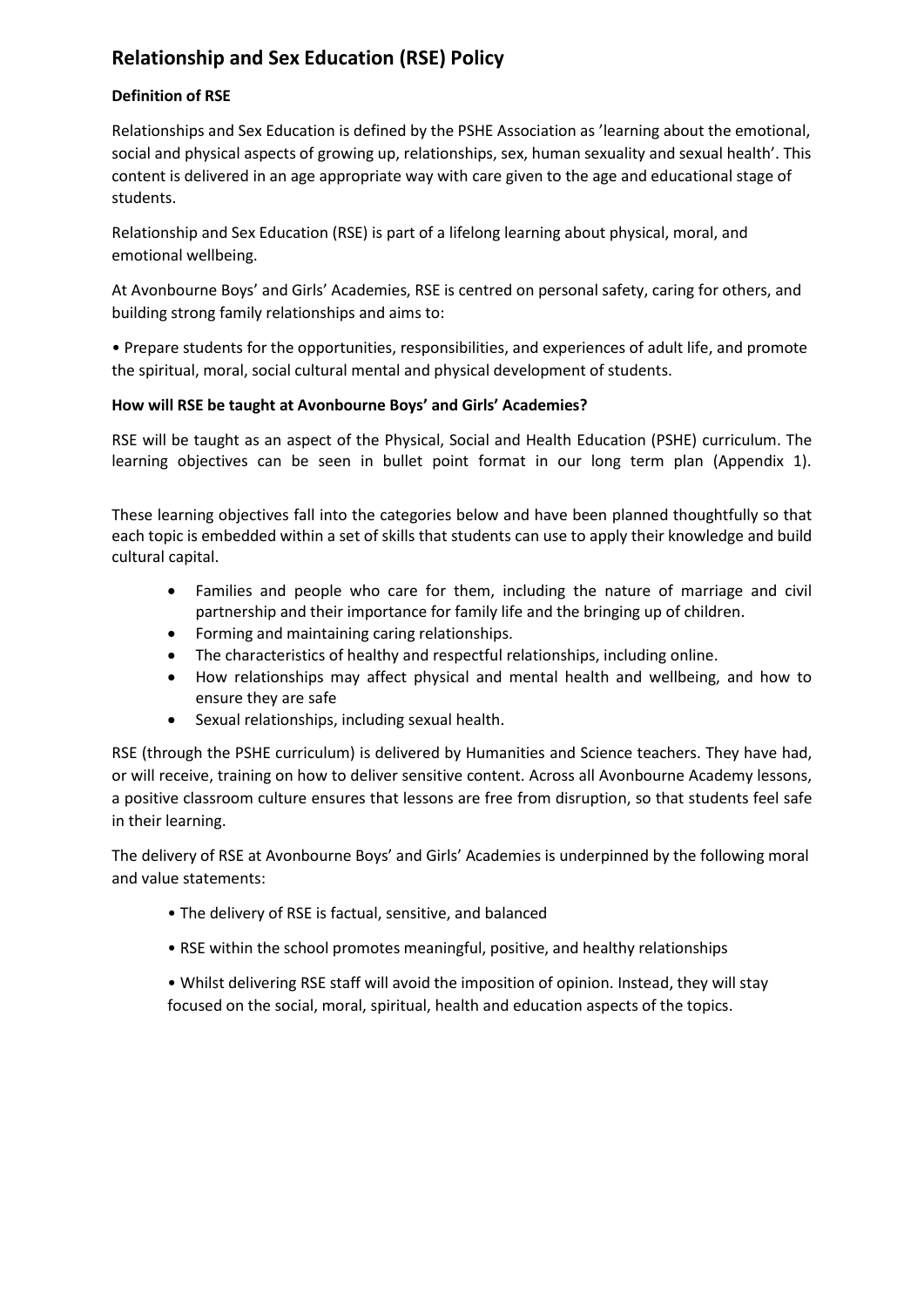# **Relationship and Sex Education (RSE) Policy**

# **Definition of RSE**

Relationships and Sex Education is defined by the PSHE Association as 'learning about the emotional, social and physical aspects of growing up, relationships, sex, human sexuality and sexual health'. This content is delivered in an age appropriate way with care given to the age and educational stage of students.

Relationship and Sex Education (RSE) is part of a lifelong learning about physical, moral, and emotional wellbeing.

At Avonbourne Boys' and Girls' Academies, RSE is centred on personal safety, caring for others, and building strong family relationships and aims to:

• Prepare students for the opportunities, responsibilities, and experiences of adult life, and promote the spiritual, moral, social cultural mental and physical development of students.

# **How will RSE be taught at Avonbourne Boys' and Girls' Academies?**

RSE will be taught as an aspect of the Physical, Social and Health Education (PSHE) curriculum. The learning objectives can be seen in bullet point format in our long term plan (Appendix 1).

These learning objectives fall into the categories below and have been planned thoughtfully so that each topic is embedded within a set of skills that students can use to apply their knowledge and build cultural capital.

- Families and people who care for them, including the nature of marriage and civil partnership and their importance for family life and the bringing up of children.
- Forming and maintaining caring relationships.
- The characteristics of healthy and respectful relationships, including online.
- How relationships may affect physical and mental health and wellbeing, and how to ensure they are safe
- Sexual relationships, including sexual health.

RSE (through the PSHE curriculum) is delivered by Humanities and Science teachers. They have had, or will receive, training on how to deliver sensitive content. Across all Avonbourne Academy lessons, a positive classroom culture ensures that lessons are free from disruption, so that students feel safe in their learning.

The delivery of RSE at Avonbourne Boys' and Girls' Academies is underpinned by the following moral and value statements:

- The delivery of RSE is factual, sensitive, and balanced
- RSE within the school promotes meaningful, positive, and healthy relationships

• Whilst delivering RSE staff will avoid the imposition of opinion. Instead, they will stay focused on the social, moral, spiritual, health and education aspects of the topics.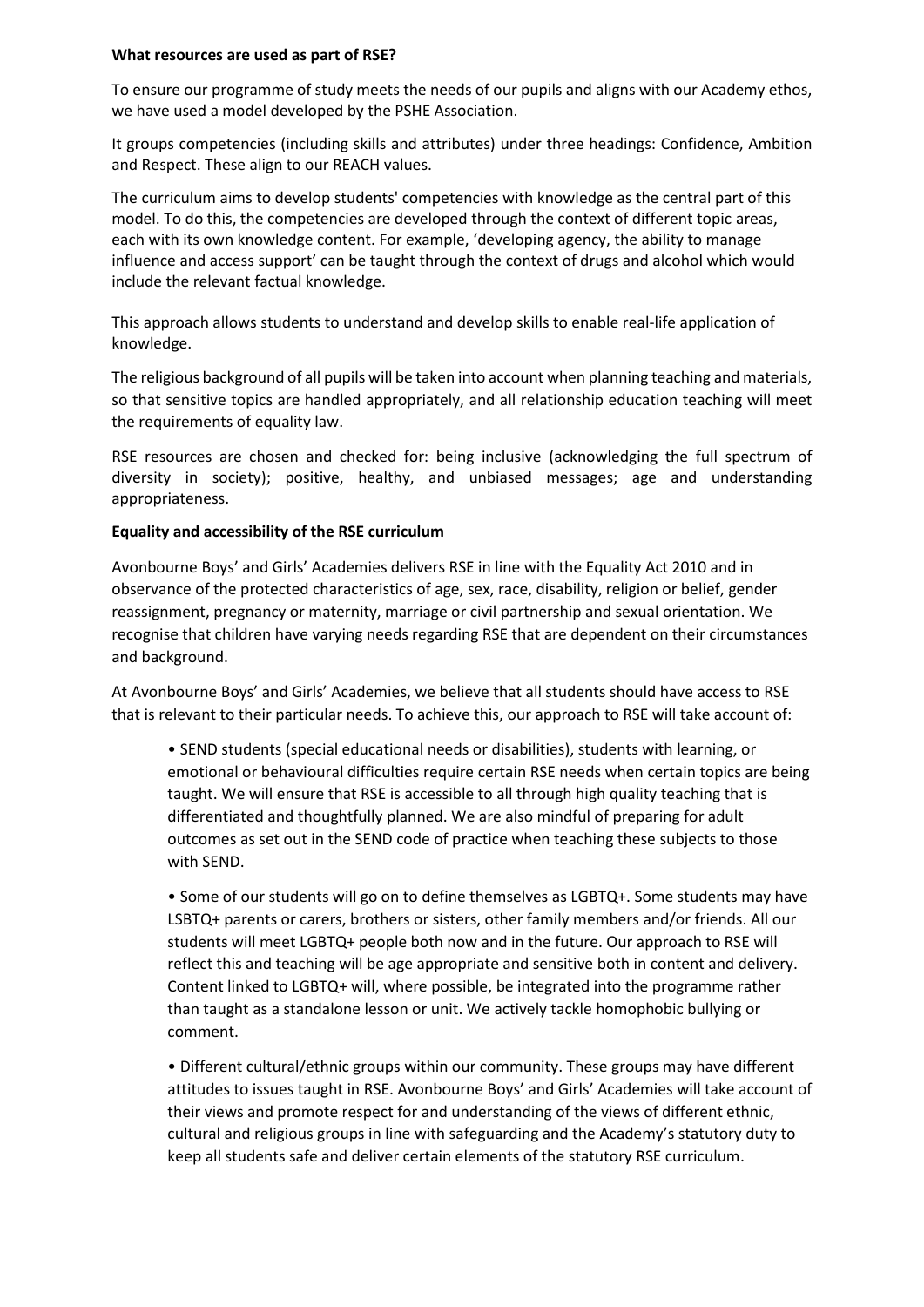#### **What resources are used as part of RSE?**

To ensure our programme of study meets the needs of our pupils and aligns with our Academy ethos, we have used a model developed by the PSHE Association.

It groups competencies (including skills and attributes) under three headings: Confidence, Ambition and Respect. These align to our REACH values.

The curriculum aims to develop students' competencies with knowledge as the central part of this model. To do this, the competencies are developed through the context of different topic areas, each with its own knowledge content. For example, 'developing agency, the ability to manage influence and access support' can be taught through the context of drugs and alcohol which would include the relevant factual knowledge.

This approach allows students to understand and develop skills to enable real-life application of knowledge.

The religious background of all pupils will be taken into account when planning teaching and materials, so that sensitive topics are handled appropriately, and all relationship education teaching will meet the requirements of equality law.

RSE resources are chosen and checked for: being inclusive (acknowledging the full spectrum of diversity in society); positive, healthy, and unbiased messages; age and understanding appropriateness.

#### **Equality and accessibility of the RSE curriculum**

Avonbourne Boys' and Girls' Academies delivers RSE in line with the Equality Act 2010 and in observance of the protected characteristics of age, sex, race, disability, religion or belief, gender reassignment, pregnancy or maternity, marriage or civil partnership and sexual orientation. We recognise that children have varying needs regarding RSE that are dependent on their circumstances and background.

At Avonbourne Boys' and Girls' Academies, we believe that all students should have access to RSE that is relevant to their particular needs. To achieve this, our approach to RSE will take account of:

• SEND students (special educational needs or disabilities), students with learning, or emotional or behavioural difficulties require certain RSE needs when certain topics are being taught. We will ensure that RSE is accessible to all through high quality teaching that is differentiated and thoughtfully planned. We are also mindful of preparing for adult outcomes as set out in the SEND code of practice when teaching these subjects to those with SEND.

• Some of our students will go on to define themselves as LGBTQ+. Some students may have LSBTQ+ parents or carers, brothers or sisters, other family members and/or friends. All our students will meet LGBTQ+ people both now and in the future. Our approach to RSE will reflect this and teaching will be age appropriate and sensitive both in content and delivery. Content linked to LGBTQ+ will, where possible, be integrated into the programme rather than taught as a standalone lesson or unit. We actively tackle homophobic bullying or comment.

• Different cultural/ethnic groups within our community. These groups may have different attitudes to issues taught in RSE. Avonbourne Boys' and Girls' Academies will take account of their views and promote respect for and understanding of the views of different ethnic, cultural and religious groups in line with safeguarding and the Academy's statutory duty to keep all students safe and deliver certain elements of the statutory RSE curriculum.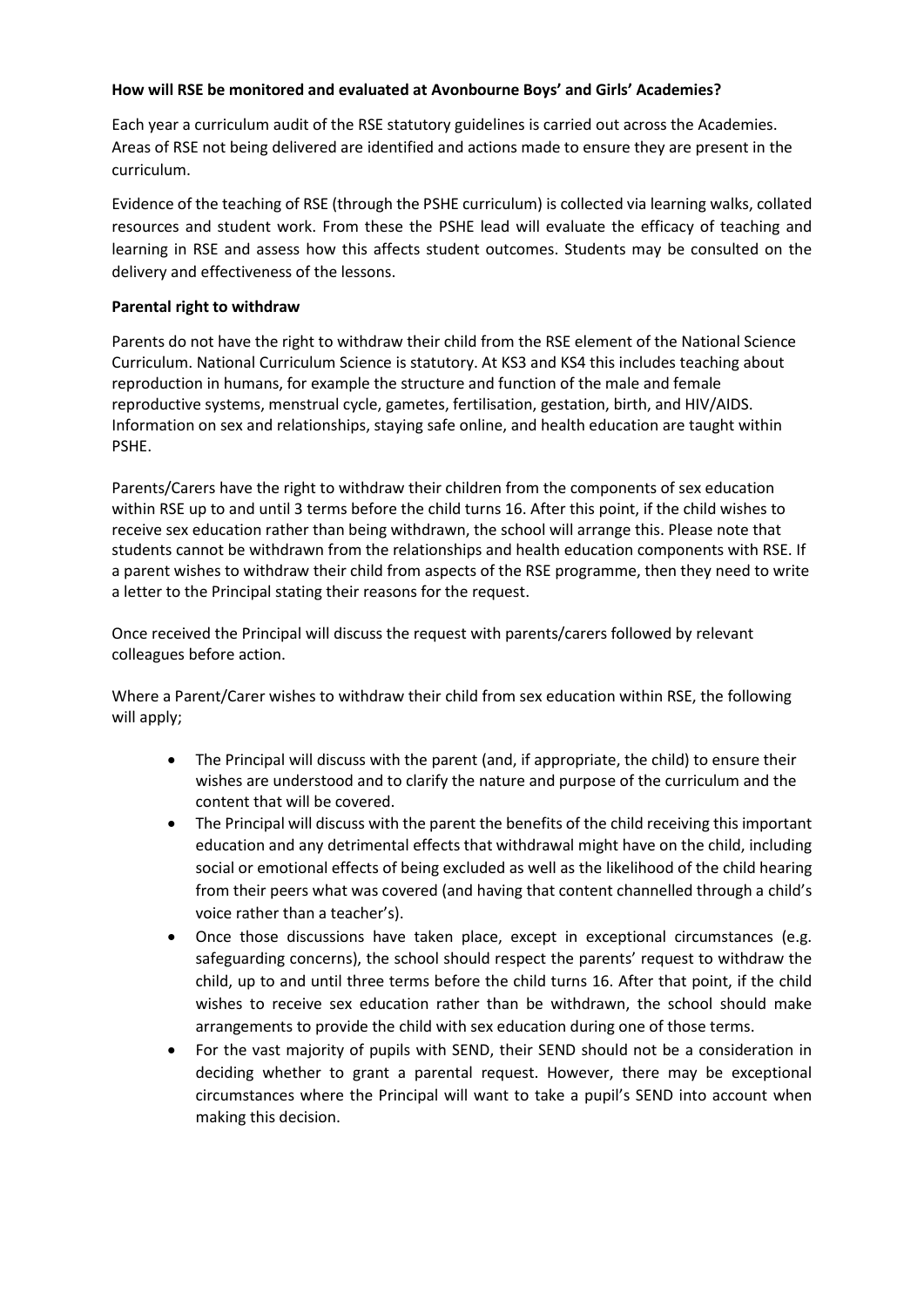#### **How will RSE be monitored and evaluated at Avonbourne Boys' and Girls' Academies?**

Each year a curriculum audit of the RSE statutory guidelines is carried out across the Academies. Areas of RSE not being delivered are identified and actions made to ensure they are present in the curriculum.

Evidence of the teaching of RSE (through the PSHE curriculum) is collected via learning walks, collated resources and student work. From these the PSHE lead will evaluate the efficacy of teaching and learning in RSE and assess how this affects student outcomes. Students may be consulted on the delivery and effectiveness of the lessons.

#### **Parental right to withdraw**

Parents do not have the right to withdraw their child from the RSE element of the National Science Curriculum. National Curriculum Science is statutory. At KS3 and KS4 this includes teaching about reproduction in humans, for example the structure and function of the male and female reproductive systems, menstrual cycle, gametes, fertilisation, gestation, birth, and HIV/AIDS. Information on sex and relationships, staying safe online, and health education are taught within PSHE.

Parents/Carers have the right to withdraw their children from the components of sex education within RSE up to and until 3 terms before the child turns 16. After this point, if the child wishes to receive sex education rather than being withdrawn, the school will arrange this. Please note that students cannot be withdrawn from the relationships and health education components with RSE. If a parent wishes to withdraw their child from aspects of the RSE programme, then they need to write a letter to the Principal stating their reasons for the request.

Once received the Principal will discuss the request with parents/carers followed by relevant colleagues before action.

Where a Parent/Carer wishes to withdraw their child from sex education within RSE, the following will apply;

- The Principal will discuss with the parent (and, if appropriate, the child) to ensure their wishes are understood and to clarify the nature and purpose of the curriculum and the content that will be covered.
- The Principal will discuss with the parent the benefits of the child receiving this important education and any detrimental effects that withdrawal might have on the child, including social or emotional effects of being excluded as well as the likelihood of the child hearing from their peers what was covered (and having that content channelled through a child's voice rather than a teacher's).
- Once those discussions have taken place, except in exceptional circumstances (e.g. safeguarding concerns), the school should respect the parents' request to withdraw the child, up to and until three terms before the child turns 16. After that point, if the child wishes to receive sex education rather than be withdrawn, the school should make arrangements to provide the child with sex education during one of those terms.
- For the vast majority of pupils with SEND, their SEND should not be a consideration in deciding whether to grant a parental request. However, there may be exceptional circumstances where the Principal will want to take a pupil's SEND into account when making this decision.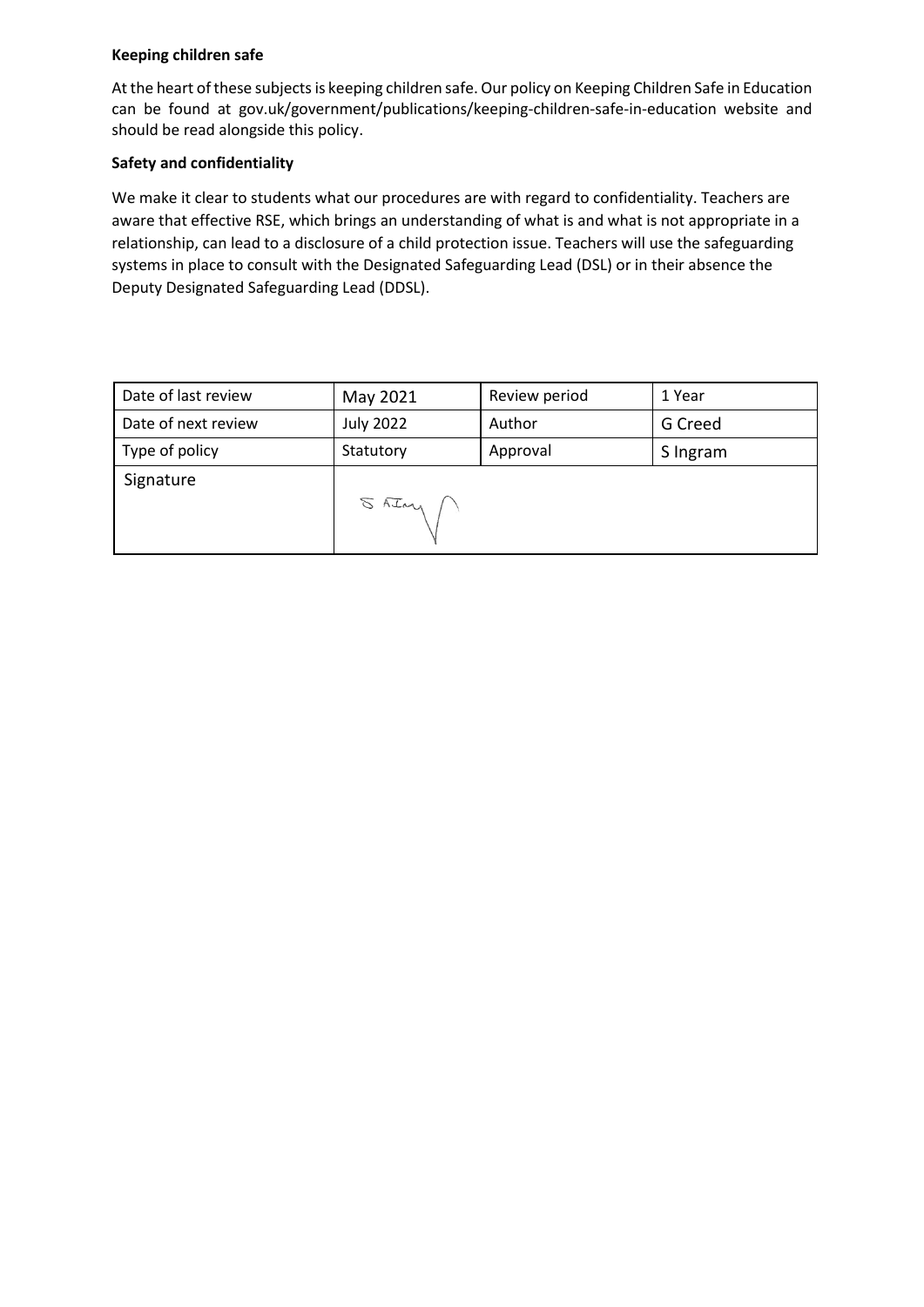# **Keeping children safe**

At the heart of these subjects is keeping children safe. Our policy on Keeping Children Safe in Education can be found at gov.uk/government/publications/keeping-children-safe-in-education website and should be read alongside this policy.

## **Safety and confidentiality**

We make it clear to students what our procedures are with regard to confidentiality. Teachers are aware that effective RSE, which brings an understanding of what is and what is not appropriate in a relationship, can lead to a disclosure of a child protection issue. Teachers will use the safeguarding systems in place to consult with the Designated Safeguarding Lead (DSL) or in their absence the Deputy Designated Safeguarding Lead (DDSL).

| Date of last review | May 2021         | Review period | 1 Year   |
|---------------------|------------------|---------------|----------|
| Date of next review | <b>July 2022</b> | Author        | G Creed  |
| Type of policy      | Statutory        | Approval      | S Ingram |
| Signature           | $SATay \cap$     |               |          |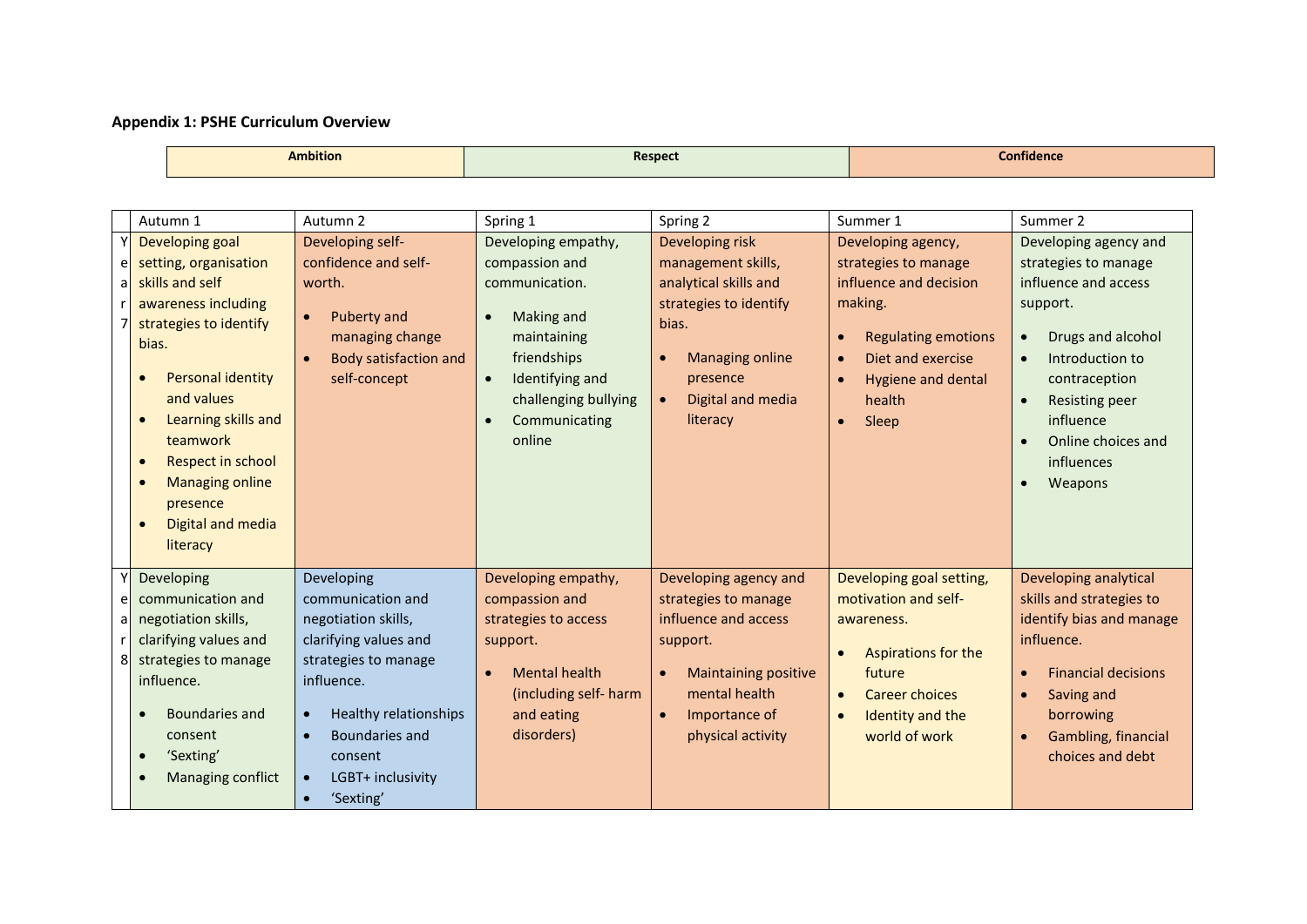#### **Appendix 1: PSHE Curriculum Overview**

**Ambition Respect Confidence**

|                | Autumn 1                                                                                                                                                                                                                                                                                                           | Autumn 2                                                                                                                                                                                                                                                          | Spring 1                                                                                                                                                                                            | Spring 2                                                                                                                                                                              | Summer 1                                                                                                                                                                                                                        | Summer 2                                                                                                                                                                                                                        |
|----------------|--------------------------------------------------------------------------------------------------------------------------------------------------------------------------------------------------------------------------------------------------------------------------------------------------------------------|-------------------------------------------------------------------------------------------------------------------------------------------------------------------------------------------------------------------------------------------------------------------|-----------------------------------------------------------------------------------------------------------------------------------------------------------------------------------------------------|---------------------------------------------------------------------------------------------------------------------------------------------------------------------------------------|---------------------------------------------------------------------------------------------------------------------------------------------------------------------------------------------------------------------------------|---------------------------------------------------------------------------------------------------------------------------------------------------------------------------------------------------------------------------------|
| el<br>-al<br>7 | Developing goal<br>setting, organisation<br>skills and self<br>awareness including<br>strategies to identify<br>bias.<br><b>Personal identity</b><br>$\bullet$<br>and values<br><b>Learning skills and</b><br>teamwork<br>Respect in school<br><b>Managing online</b><br>presence<br>Digital and media<br>literacy | Developing self-<br>confidence and self-<br>worth.<br><b>Puberty and</b><br>managing change<br><b>Body satisfaction and</b><br>self-concept                                                                                                                       | Developing empathy,<br>compassion and<br>communication.<br>Making and<br>$\bullet$<br>maintaining<br>friendships<br>Identifying and<br>$\bullet$<br>challenging bullying<br>Communicating<br>online | Developing risk<br>management skills,<br>analytical skills and<br>strategies to identify<br>bias.<br><b>Managing online</b><br>presence<br>Digital and media<br>$\bullet$<br>literacy | Developing agency,<br>strategies to manage<br>influence and decision<br>making.<br><b>Regulating emotions</b><br>$\bullet$<br>Diet and exercise<br>$\bullet$<br>Hygiene and dental<br>$\bullet$<br>health<br>Sleep<br>$\bullet$ | Developing agency and<br>strategies to manage<br>influence and access<br>support.<br>Drugs and alcohol<br>Introduction to<br>contraception<br><b>Resisting peer</b><br>influence<br>Online choices and<br>influences<br>Weapons |
| e<br>a<br>8    | Developing<br>communication and<br>negotiation skills,<br>clarifying values and<br>strategies to manage<br>influence.<br>Boundaries and<br>consent<br>'Sexting'<br>Managing conflict                                                                                                                               | Developing<br>communication and<br>negotiation skills,<br>clarifying values and<br>strategies to manage<br>influence.<br>Healthy relationships<br>$\bullet$<br>Boundaries and<br>$\bullet$<br>consent<br>LGBT+ inclusivity<br>$\bullet$<br>'Sexting'<br>$\bullet$ | Developing empathy,<br>compassion and<br>strategies to access<br>support.<br><b>Mental health</b><br>$\bullet$<br>(including self- harm<br>and eating<br>disorders)                                 | Developing agency and<br>strategies to manage<br>influence and access<br>support.<br><b>Maintaining positive</b><br>mental health<br>Importance of<br>$\bullet$<br>physical activity  | Developing goal setting,<br>motivation and self-<br>awareness.<br>Aspirations for the<br>$\bullet$<br>future<br><b>Career choices</b><br>$\bullet$<br>Identity and the<br>$\bullet$<br>world of work                            | Developing analytical<br>skills and strategies to<br>identify bias and manage<br>influence.<br><b>Financial decisions</b><br>Saving and<br>borrowing<br>Gambling, financial<br>choices and debt                                 |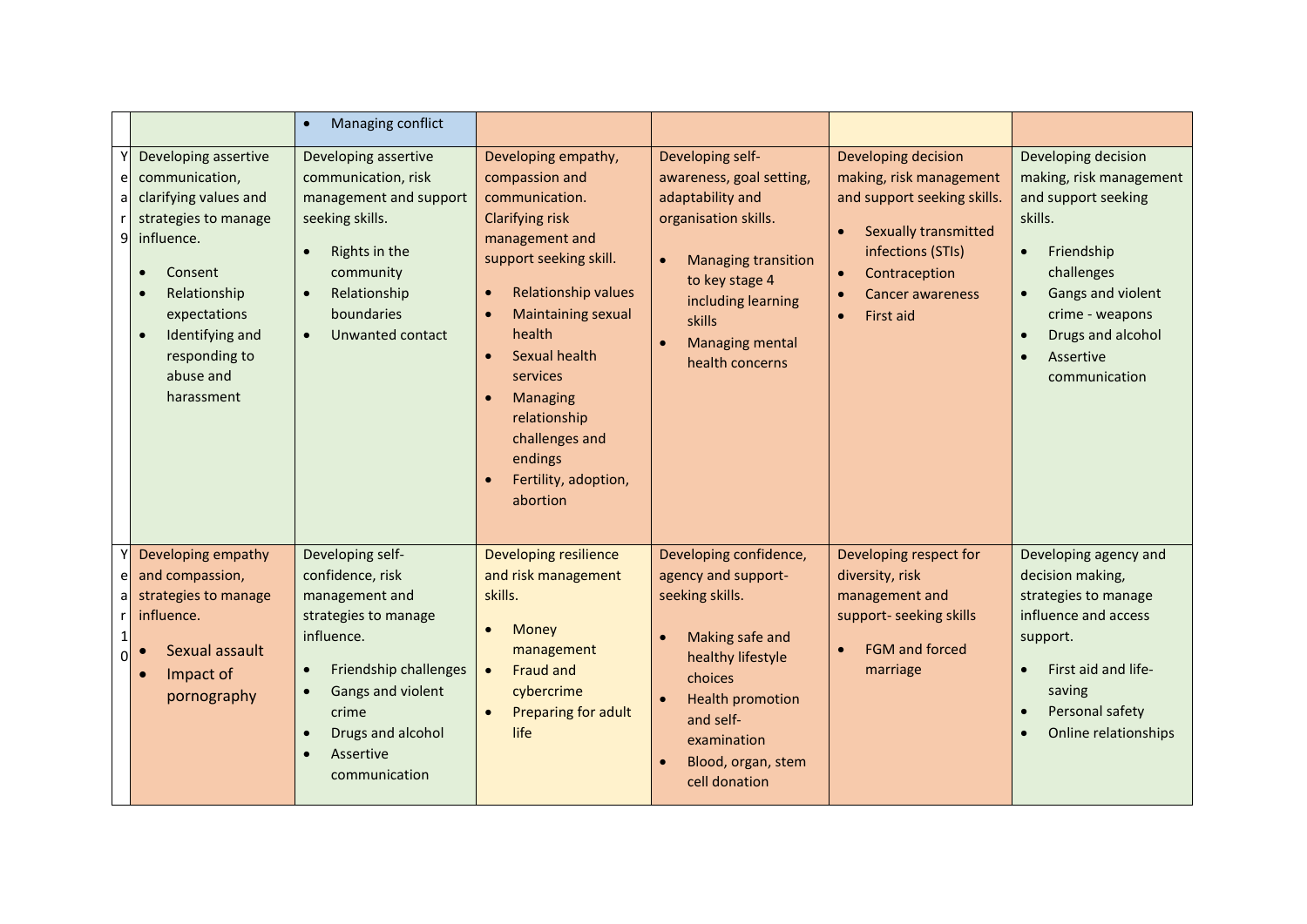|                     |                                                                                                                                                                                                                              | Managing conflict<br>$\bullet$                                                                                                                                                                                                                             |                                                                                                                                                                                                                                                                                                                       |                                                                                                                                                                                                                                          |                                                                                                                                                                                                                                                |                                                                                                                                                                                                                      |
|---------------------|------------------------------------------------------------------------------------------------------------------------------------------------------------------------------------------------------------------------------|------------------------------------------------------------------------------------------------------------------------------------------------------------------------------------------------------------------------------------------------------------|-----------------------------------------------------------------------------------------------------------------------------------------------------------------------------------------------------------------------------------------------------------------------------------------------------------------------|------------------------------------------------------------------------------------------------------------------------------------------------------------------------------------------------------------------------------------------|------------------------------------------------------------------------------------------------------------------------------------------------------------------------------------------------------------------------------------------------|----------------------------------------------------------------------------------------------------------------------------------------------------------------------------------------------------------------------|
| e <br>a<br>9        | Developing assertive<br>communication,<br>clarifying values and<br>strategies to manage<br>influence.<br>Consent<br>Relationship<br>expectations<br>Identifying and<br>$\bullet$<br>responding to<br>abuse and<br>harassment | Developing assertive<br>communication, risk<br>management and support<br>seeking skills.<br>Rights in the<br>$\bullet$<br>community<br>Relationship<br>$\bullet$<br>boundaries<br>Unwanted contact<br>$\bullet$                                            | Developing empathy,<br>compassion and<br>communication.<br><b>Clarifying risk</b><br>management and<br>support seeking skill.<br>Relationship values<br>Maintaining sexual<br>health<br>Sexual health<br>services<br><b>Managing</b><br>relationship<br>challenges and<br>endings<br>Fertility, adoption,<br>abortion | Developing self-<br>awareness, goal setting,<br>adaptability and<br>organisation skills.<br><b>Managing transition</b><br>$\bullet$<br>to key stage 4<br>including learning<br>skills<br>Managing mental<br>$\bullet$<br>health concerns | Developing decision<br>making, risk management<br>and support seeking skills.<br><b>Sexually transmitted</b><br>$\bullet$<br>infections (STIs)<br>Contraception<br>$\bullet$<br><b>Cancer awareness</b><br>$\bullet$<br>First aid<br>$\bullet$ | Developing decision<br>making, risk management<br>and support seeking<br>skills.<br>Friendship<br>$\bullet$<br>challenges<br>Gangs and violent<br>crime - weapons<br>Drugs and alcohol<br>Assertive<br>communication |
| e<br>al<br>$\Omega$ | Developing empathy<br>and compassion,<br>strategies to manage<br>influence.<br>Sexual assault<br>Impact of<br>pornography                                                                                                    | Developing self-<br>confidence, risk<br>management and<br>strategies to manage<br>influence.<br>Friendship challenges<br>$\bullet$<br>Gangs and violent<br>$\bullet$<br>crime<br>Drugs and alcohol<br>$\bullet$<br>Assertive<br>$\bullet$<br>communication | Developing resilience<br>and risk management<br>skills.<br>Money<br>management<br><b>Fraud and</b><br>$\bullet$<br>cybercrime<br>Preparing for adult<br>life                                                                                                                                                          | Developing confidence,<br>agency and support-<br>seeking skills.<br>Making safe and<br>healthy lifestyle<br>choices<br><b>Health promotion</b><br>and self-<br>examination<br>Blood, organ, stem<br>cell donation                        | Developing respect for<br>diversity, risk<br>management and<br>support- seeking skills<br><b>FGM and forced</b><br>$\bullet$<br>marriage                                                                                                       | Developing agency and<br>decision making,<br>strategies to manage<br>influence and access<br>support.<br>First aid and life-<br>$\bullet$<br>saving<br>Personal safety<br>Online relationships                       |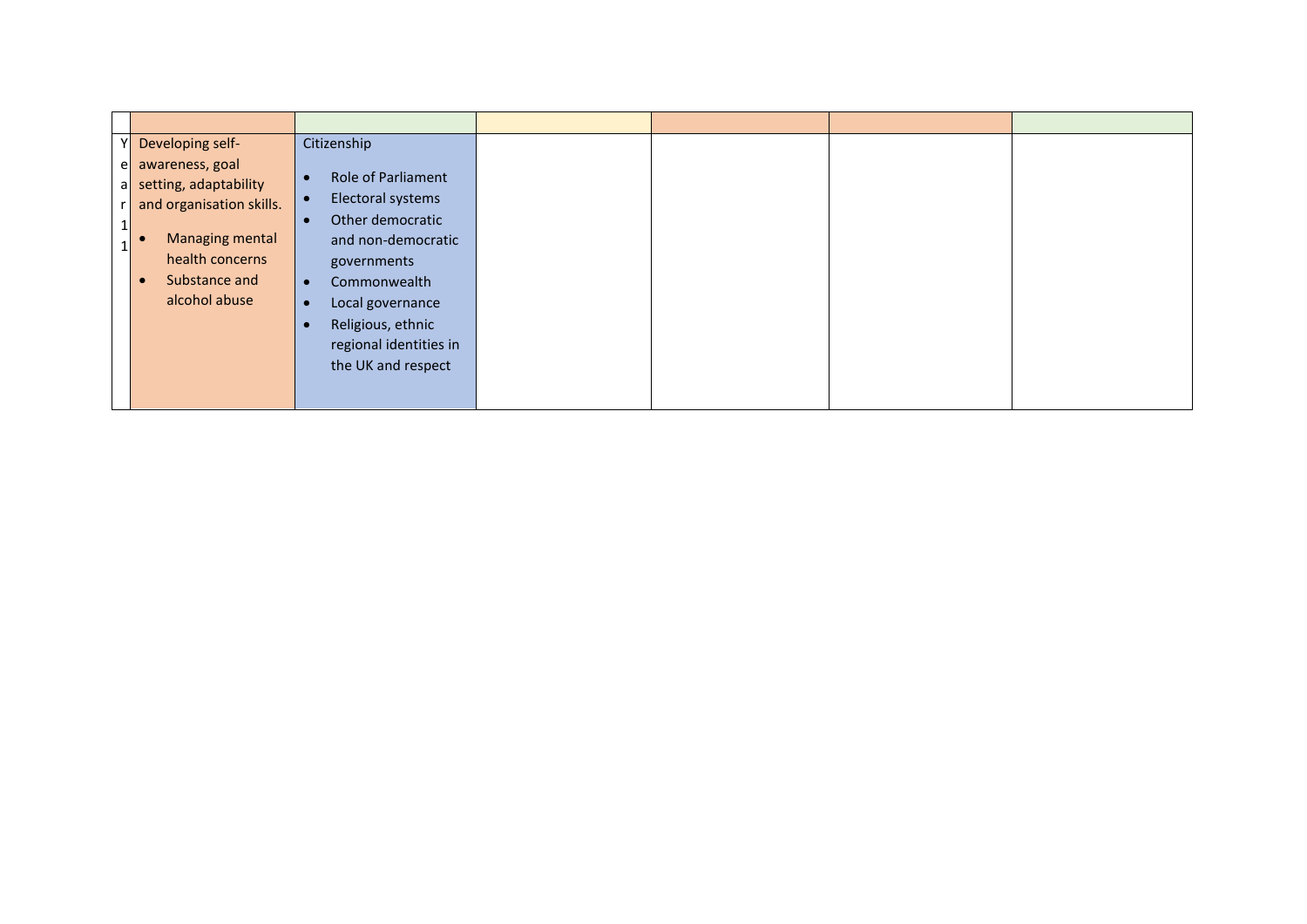|                  | Developing self-                                                                                                                                 | Citizenship                                                                                                                                                                                                                                                                       |  |  |
|------------------|--------------------------------------------------------------------------------------------------------------------------------------------------|-----------------------------------------------------------------------------------------------------------------------------------------------------------------------------------------------------------------------------------------------------------------------------------|--|--|
| $r_{\perp}$<br>Ŧ | e awareness, goal<br>a setting, adaptability<br>and organisation skills.<br>Managing mental<br>health concerns<br>Substance and<br>alcohol abuse | <b>Role of Parliament</b><br>$\bullet$<br>Electoral systems<br>$\bullet$<br>Other democratic<br>$\bullet$<br>and non-democratic<br>governments<br>Commonwealth<br>$\bullet$<br>Local governance<br>$\bullet$<br>Religious, ethnic<br>regional identities in<br>the UK and respect |  |  |